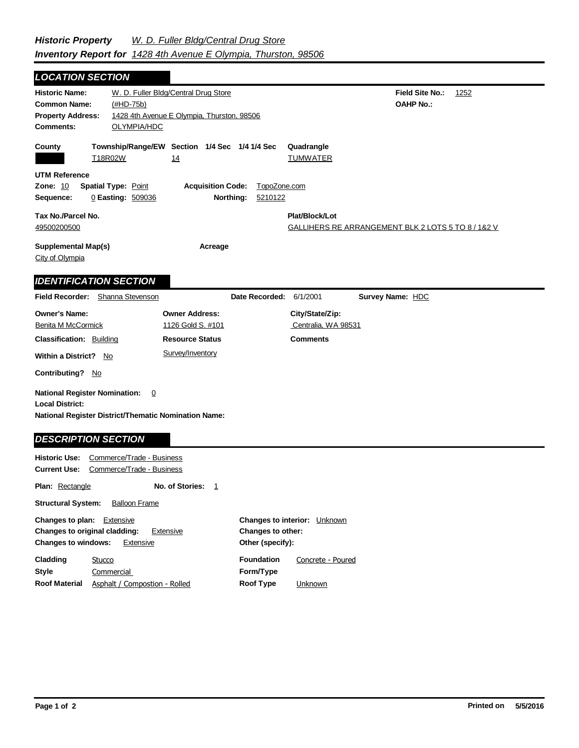## **Field Site No.:** 1252 **OAHP No.:** Historic Name: W. D. Fuller Bldg/Central Drug Store **Common Name:** (#HD-75b) **County Plat/Block/Lot** GALLIHERS RE ARRANGEMENT BLK 2 LOTS 5 TO 8 / 1&2 V **Supplemental Map(s) Acreage** City of Olympia **Tax No./Parcel No.** 49500200500 Property Address: 1428 4th Avenue E Olympia, Thurston, 98506 *LOCATION SECTION* **Comments:** OLYMPIA/HDC **Quadrangle UTM Reference Township/Range/EW Section 1/4 Sec 1/4 1/4 Sec Owner Address:** 1126 Gold S. #101 **Field Recorder:** Shanna Stevenson **Owner's Name: Benita M McCormick City/State/Zip:** Centralia, WA 98531 **National Register District/Thematic Nomination Name: Local District: Date Recorded:** 6/1/2001 **Classification:** Building **Within a District?** No **Contributing?** No **Comments National Register Nomination:** 0 **Plan:** Rectangle **Historic Use:** Commerce/Trade - Business **Current Use:** Commerce/Trade - Business **Structural System:** Balloon Frame **No. of Stories:** 1 **Resource Status Survey Name:** HDC *IDENTIFICATION SECTION DESCRIPTION SECTION* T18R02W 14 14 TUMWATER **Zone:** 10 **Spatial Type:** Point **Acquisition Code:** TopoZone.com **Sequence:** 0 **Easting:** 509036 **Northing:** 5210122 Survey/Inventory

| <b>Changes to plan:</b> Extensive<br><b>Changes to original cladding:</b><br><b>Changes to windows:</b> | Extensive<br>Extensive        | Changes to other:<br>Other (specify): | <b>Changes to interior:</b> Unknown |
|---------------------------------------------------------------------------------------------------------|-------------------------------|---------------------------------------|-------------------------------------|
| Cladding                                                                                                | Stucco                        | <b>Foundation</b>                     | Concrete - Poured                   |
| Style                                                                                                   | Commercial                    | Form/Type                             |                                     |
| <b>Roof Material</b>                                                                                    | Asphalt / Compostion - Rolled | Roof Type                             | <b>Unknown</b>                      |